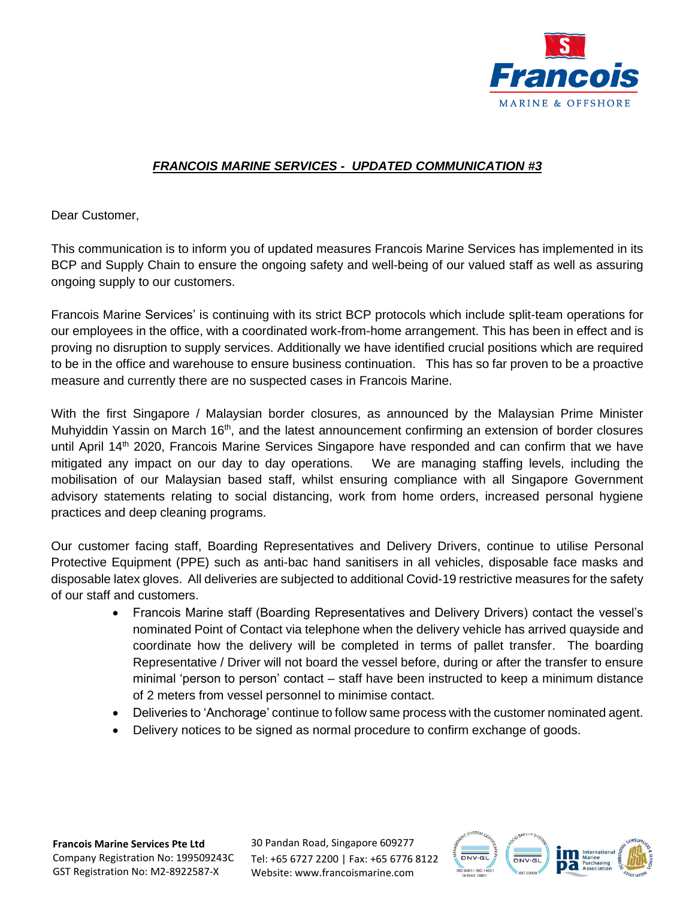

## *FRANCOIS MARINE SERVICES - UPDATED COMMUNICATION #3*

Dear Customer,

This communication is to inform you of updated measures Francois Marine Services has implemented in its BCP and Supply Chain to ensure the ongoing safety and well-being of our valued staff as well as assuring ongoing supply to our customers.

Francois Marine Services' is continuing with its strict BCP protocols which include split-team operations for our employees in the office, with a coordinated work-from-home arrangement. This has been in effect and is proving no disruption to supply services. Additionally we have identified crucial positions which are required to be in the office and warehouse to ensure business continuation. This has so far proven to be a proactive measure and currently there are no suspected cases in Francois Marine.

With the first Singapore / Malaysian border closures, as announced by the Malaysian Prime Minister Muhyiddin Yassin on March 16<sup>th</sup>, and the latest announcement confirming an extension of border closures until April 14<sup>th</sup> 2020, Francois Marine Services Singapore have responded and can confirm that we have mitigated any impact on our day to day operations. We are managing staffing levels, including the mobilisation of our Malaysian based staff, whilst ensuring compliance with all Singapore Government advisory statements relating to social distancing, work from home orders, increased personal hygiene practices and deep cleaning programs.

Our customer facing staff, Boarding Representatives and Delivery Drivers, continue to utilise Personal Protective Equipment (PPE) such as anti-bac hand sanitisers in all vehicles, disposable face masks and disposable latex gloves. All deliveries are subjected to additional Covid-19 restrictive measures for the safety of our staff and customers.

- Francois Marine staff (Boarding Representatives and Delivery Drivers) contact the vessel's nominated Point of Contact via telephone when the delivery vehicle has arrived quayside and coordinate how the delivery will be completed in terms of pallet transfer. The boarding Representative / Driver will not board the vessel before, during or after the transfer to ensure minimal 'person to person' contact – staff have been instructed to keep a minimum distance of 2 meters from vessel personnel to minimise contact.
- Deliveries to 'Anchorage' continue to follow same process with the customer nominated agent.
- Delivery notices to be signed as normal procedure to confirm exchange of goods.

**Francois Marine Services Pte Ltd** Company Registration No: 199509243C GST Registration No: M2-8922587-X

30 Pandan Road, Singapore 609277 Tel: +65 6727 2200 | Fax: +65 6776 8122 Website: www.francoismarine.com